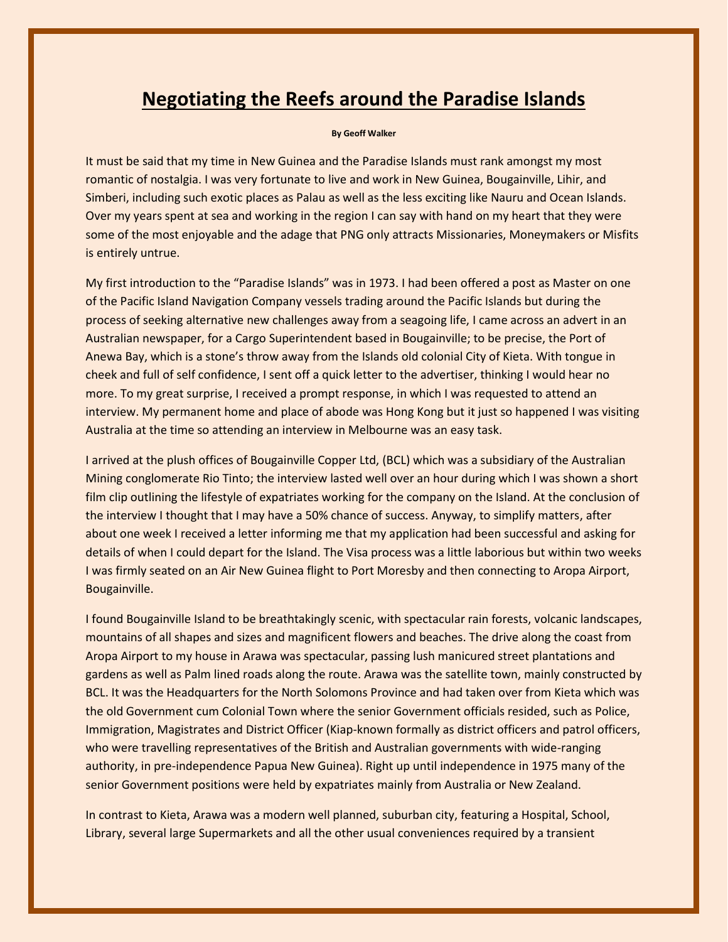## **Negotiating the Reefs around the Paradise Islands**

## **By Geoff Walker**

It must be said that my time in New Guinea and the Paradise Islands must rank amongst my most romantic of nostalgia. I was very fortunate to live and work in New Guinea, Bougainville, Lihir, and Simberi, including such exotic places as Palau as well as the less exciting like Nauru and Ocean Islands. Over my years spent at sea and working in the region I can say with hand on my heart that they were some of the most enjoyable and the adage that PNG only attracts Missionaries, Moneymakers or Misfits is entirely untrue.

My first introduction to the "Paradise Islands" was in 1973. I had been offered a post as Master on one of the Pacific Island Navigation Company vessels trading around the Pacific Islands but during the process of seeking alternative new challenges away from a seagoing life, I came across an advert in an Australian newspaper, for a Cargo Superintendent based in Bougainville; to be precise, the Port of Anewa Bay, which is a stone's throw away from the Islands old colonial City of Kieta. With tongue in cheek and full of self confidence, I sent off a quick letter to the advertiser, thinking I would hear no more. To my great surprise, I received a prompt response, in which I was requested to attend an interview. My permanent home and place of abode was Hong Kong but it just so happened I was visiting Australia at the time so attending an interview in Melbourne was an easy task.

I arrived at the plush offices of Bougainville Copper Ltd, (BCL) which was a subsidiary of the Australian Mining conglomerate Rio Tinto; the interview lasted well over an hour during which I was shown a short film clip outlining the lifestyle of expatriates working for the company on the Island. At the conclusion of the interview I thought that I may have a 50% chance of success. Anyway, to simplify matters, after about one week I received a letter informing me that my application had been successful and asking for details of when I could depart for the Island. The Visa process was a little laborious but within two weeks I was firmly seated on an Air New Guinea flight to Port Moresby and then connecting to Aropa Airport, Bougainville.

I found Bougainville Island to be breathtakingly scenic, with spectacular rain forests, volcanic landscapes, mountains of all shapes and sizes and magnificent flowers and beaches. The drive along the coast from Aropa Airport to my house in Arawa was spectacular, passing lush manicured street plantations and gardens as well as Palm lined roads along the route. Arawa was the satellite town, mainly constructed by BCL. It was the Headquarters for the North Solomons Province and had taken over from Kieta which was the old Government cum Colonial Town where the senior Government officials resided, such as Police, Immigration, Magistrates and District Officer (Kiap-known formally as district officers and patrol officers, who were travelling representatives of the British and Australian governments with wide-ranging authority, in pre-independence Papua New Guinea). Right up until independence in 1975 many of the senior Government positions were held by expatriates mainly from Australia or New Zealand.

In contrast to Kieta, Arawa was a modern well planned, suburban city, featuring a Hospital, School, Library, several large Supermarkets and all the other usual conveniences required by a transient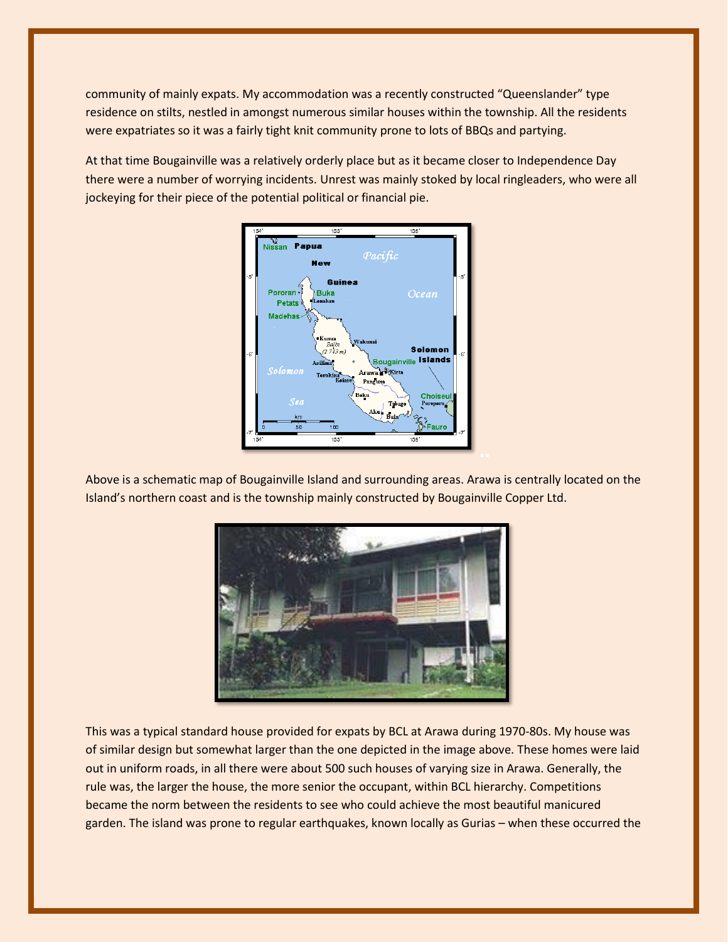community of mainly expats. My accommodation was a recently constructed "Queenslander" type residence on stilts, nestled in amongst numerous similar houses within the township. All the residents were expatriates so it was a fairly tight knit community prone to lots of BBQs and partying.

At that time Bougainville was a relatively orderly place but as it became closer to Independence Day there were a number of worrying incidents. Unrest was mainly stoked by local ringleaders, who were all jockeying for their piece of the potential political or financial pie.



Above is a schematic map of Bougainville Island and surrounding areas. Arawa is centrally located on the Island's northern coast and is the township mainly constructed by Bougainville Copper Ltd.



This was a typical standard house provided for expats by BCL at Arawa during 1970-80s. My house was of similar design but somewhat larger than the one depicted in the image above. These homes were laid out in uniform roads, in all there were about 500 such houses of varying size in Arawa. Generally, the rule was, the larger the house, the more senior the occupant, within BCL hierarchy. Competitions became the norm between the residents to see who could achieve the most beautiful manicured garden. The island was prone to regular earthquakes, known locally as Gurias – when these occurred the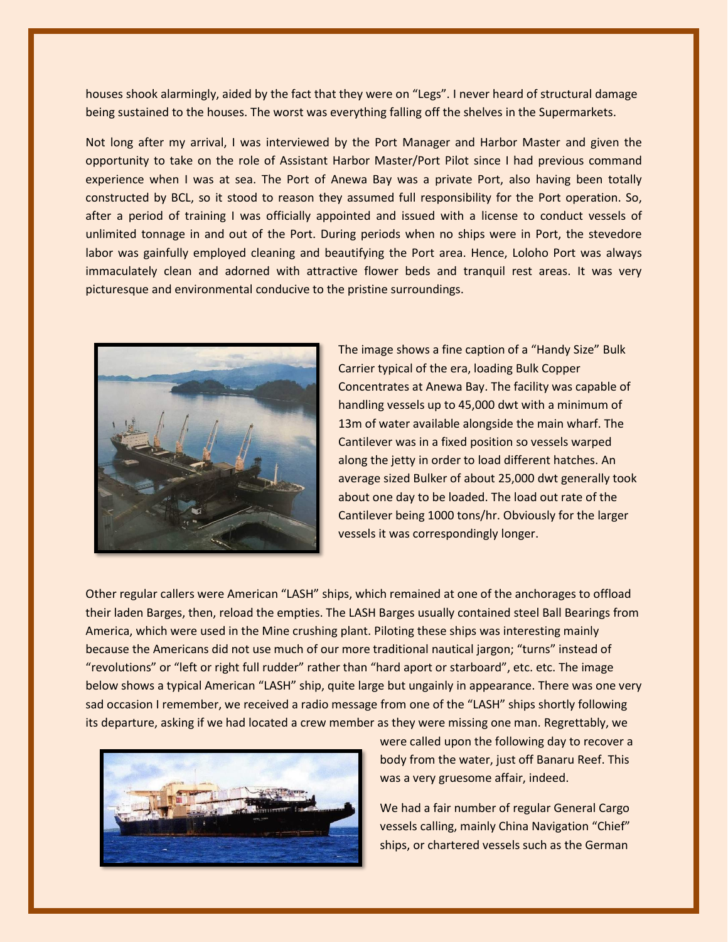houses shook alarmingly, aided by the fact that they were on "Legs". I never heard of structural damage being sustained to the houses. The worst was everything falling off the shelves in the Supermarkets.

Not long after my arrival, I was interviewed by the Port Manager and Harbor Master and given the opportunity to take on the role of Assistant Harbor Master/Port Pilot since I had previous command experience when I was at sea. The Port of Anewa Bay was a private Port, also having been totally constructed by BCL, so it stood to reason they assumed full responsibility for the Port operation. So, after a period of training I was officially appointed and issued with a license to conduct vessels of unlimited tonnage in and out of the Port. During periods when no ships were in Port, the stevedore labor was gainfully employed cleaning and beautifying the Port area. Hence, Loloho Port was always immaculately clean and adorned with attractive flower beds and tranquil rest areas. It was very picturesque and environmental conducive to the pristine surroundings.



The image shows a fine caption of a "Handy Size" Bulk Carrier typical of the era, loading Bulk Copper Concentrates at Anewa Bay. The facility was capable of handling vessels up to 45,000 dwt with a minimum of 13m of water available alongside the main wharf. The Cantilever was in a fixed position so vessels warped along the jetty in order to load different hatches. An average sized Bulker of about 25,000 dwt generally took about one day to be loaded. The load out rate of the Cantilever being 1000 tons/hr. Obviously for the larger vessels it was correspondingly longer.

Other regular callers were American "LASH" ships, which remained at one of the anchorages to offload their laden Barges, then, reload the empties. The LASH Barges usually contained steel Ball Bearings from America, which were used in the Mine crushing plant. Piloting these ships was interesting mainly because the Americans did not use much of our more traditional nautical jargon; "turns" instead of "revolutions" or "left or right full rudder" rather than "hard aport or starboard", etc. etc. The image below shows a typical American "LASH" ship, quite large but ungainly in appearance. There was one very sad occasion I remember, we received a radio message from one of the "LASH" ships shortly following its departure, asking if we had located a crew member as they were missing one man. Regrettably, we



were called upon the following day to recover a body from the water, just off Banaru Reef. This was a very gruesome affair, indeed.

We had a fair number of regular General Cargo vessels calling, mainly China Navigation "Chief" ships, or chartered vessels such as the German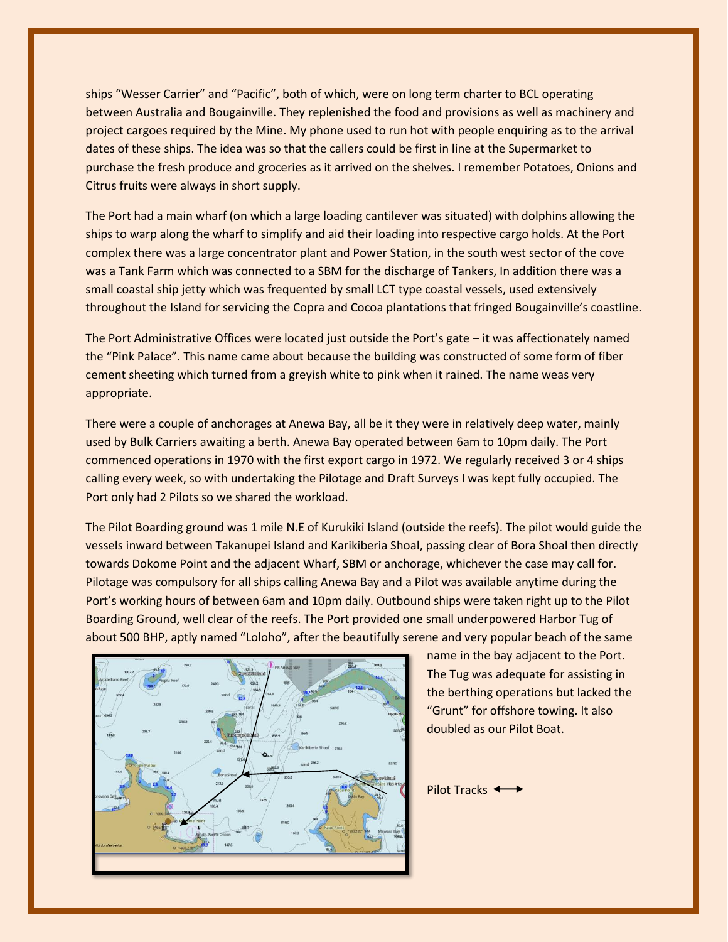ships "Wesser Carrier" and "Pacific", both of which, were on long term charter to BCL operating between Australia and Bougainville. They replenished the food and provisions as well as machinery and project cargoes required by the Mine. My phone used to run hot with people enquiring as to the arrival dates of these ships. The idea was so that the callers could be first in line at the Supermarket to purchase the fresh produce and groceries as it arrived on the shelves. I remember Potatoes, Onions and Citrus fruits were always in short supply.

The Port had a main wharf (on which a large loading cantilever was situated) with dolphins allowing the ships to warp along the wharf to simplify and aid their loading into respective cargo holds. At the Port complex there was a large concentrator plant and Power Station, in the south west sector of the cove was a Tank Farm which was connected to a SBM for the discharge of Tankers, In addition there was a small coastal ship jetty which was frequented by small LCT type coastal vessels, used extensively throughout the Island for servicing the Copra and Cocoa plantations that fringed Bougainville's coastline.

The Port Administrative Offices were located just outside the Port's gate – it was affectionately named the "Pink Palace". This name came about because the building was constructed of some form of fiber cement sheeting which turned from a greyish white to pink when it rained. The name weas very appropriate.

There were a couple of anchorages at Anewa Bay, all be it they were in relatively deep water, mainly used by Bulk Carriers awaiting a berth. Anewa Bay operated between 6am to 10pm daily. The Port commenced operations in 1970 with the first export cargo in 1972. We regularly received 3 or 4 ships calling every week, so with undertaking the Pilotage and Draft Surveys I was kept fully occupied. The Port only had 2 Pilots so we shared the workload.

The Pilot Boarding ground was 1 mile N.E of Kurukiki Island (outside the reefs). The pilot would guide the vessels inward between Takanupei Island and Karikiberia Shoal, passing clear of Bora Shoal then directly towards Dokome Point and the adjacent Wharf, SBM or anchorage, whichever the case may call for. Pilotage was compulsory for all ships calling Anewa Bay and a Pilot was available anytime during the Port's working hours of between 6am and 10pm daily. Outbound ships were taken right up to the Pilot Boarding Ground, well clear of the reefs. The Port provided one small underpowered Harbor Tug of about 500 BHP, aptly named "Loloho", after the beautifully serene and very popular beach of the same



name in the bay adjacent to the Port. The Tug was adequate for assisting in the berthing operations but lacked the "Grunt" for offshore towing. It also doubled as our Pilot Boat.

Pilot Tracks <>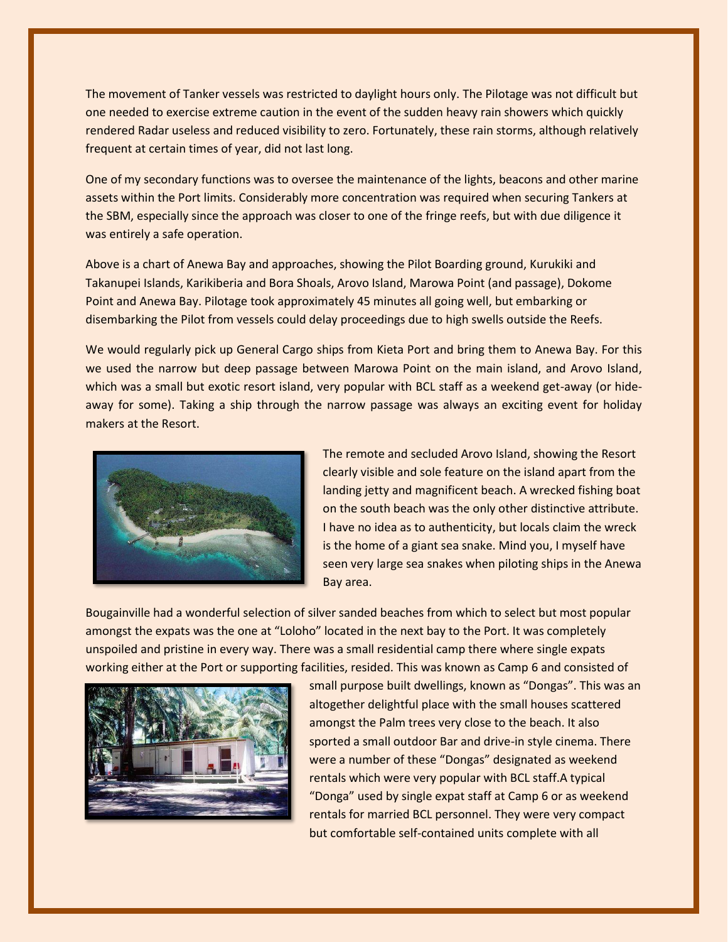The movement of Tanker vessels was restricted to daylight hours only. The Pilotage was not difficult but one needed to exercise extreme caution in the event of the sudden heavy rain showers which quickly rendered Radar useless and reduced visibility to zero. Fortunately, these rain storms, although relatively frequent at certain times of year, did not last long.

One of my secondary functions was to oversee the maintenance of the lights, beacons and other marine assets within the Port limits. Considerably more concentration was required when securing Tankers at the SBM, especially since the approach was closer to one of the fringe reefs, but with due diligence it was entirely a safe operation.

Above is a chart of Anewa Bay and approaches, showing the Pilot Boarding ground, Kurukiki and Takanupei Islands, Karikiberia and Bora Shoals, Arovo Island, Marowa Point (and passage), Dokome Point and Anewa Bay. Pilotage took approximately 45 minutes all going well, but embarking or disembarking the Pilot from vessels could delay proceedings due to high swells outside the Reefs.

We would regularly pick up General Cargo ships from Kieta Port and bring them to Anewa Bay. For this we used the narrow but deep passage between Marowa Point on the main island, and Arovo Island, which was a small but exotic resort island, very popular with BCL staff as a weekend get-away (or hideaway for some). Taking a ship through the narrow passage was always an exciting event for holiday makers at the Resort.



The remote and secluded Arovo Island, showing the Resort clearly visible and sole feature on the island apart from the landing jetty and magnificent beach. A wrecked fishing boat on the south beach was the only other distinctive attribute. I have no idea as to authenticity, but locals claim the wreck is the home of a giant sea snake. Mind you, I myself have seen very large sea snakes when piloting ships in the Anewa Bay area.

Bougainville had a wonderful selection of silver sanded beaches from which to select but most popular amongst the expats was the one at "Loloho" located in the next bay to the Port. It was completely unspoiled and pristine in every way. There was a small residential camp there where single expats working either at the Port or supporting facilities, resided. This was known as Camp 6 and consisted of



small purpose built dwellings, known as "Dongas". This was an altogether delightful place with the small houses scattered amongst the Palm trees very close to the beach. It also sported a small outdoor Bar and drive-in style cinema. There were a number of these "Dongas" designated as weekend rentals which were very popular with BCL staff.A typical "Donga" used by single expat staff at Camp 6 or as weekend rentals for married BCL personnel. They were very compact but comfortable self-contained units complete with all